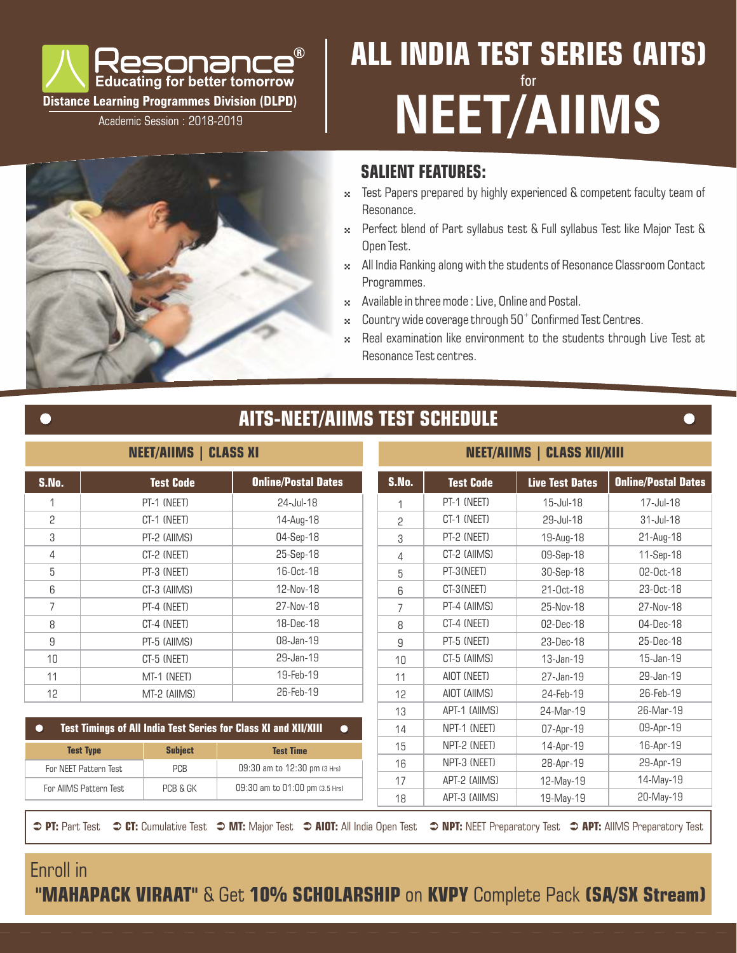

Academic Session : 2018-2019

# **ALL INDIA TEST SERIES (AITS)** for **NEET/AIIMS**

### **SALIENT FEATURES:**

- 4 Test Papers prepared by highly experienced & competent faculty team of Resonance.
- 4 Perfect blend of Part syllabus test & Full syllabus Test like Major Test & Open Test.
- \* All India Ranking along with the students of Resonance Classroom Contact Programmes.
- \* Available in three mode : Live, Online and Postal.
- $\approx$  Country wide coverage through 50 $^+$  Confirmed Test Centres.
- \* Real examination like environment to the students through Live Test at Resonance Test centres.

### **AITS-NEET/AIIMS TEST SCHEDULE**

### **NEET/AIIMS | CLASS XI**

| <b>S.No.</b> | <b>Test Code</b> | <b>Online/Postal Dates</b> |
|--------------|------------------|----------------------------|
| 1            | PT-1 (NEET)      | 24-Jul-18                  |
| 2            | CT-1 (NEET)      | 14-Aug-18                  |
| 3            | PT-2 (AIIMS)     | 04-Sep-18                  |
| 4            | CT-2 (NEET)      | 25-Sep-18                  |
| 5            | PT-3 (NEET)      | $16-0ct-18$                |
| 6            | CT-3 (AIIMS)     | 12-Nov-18                  |
| 7            | PT-4 (NEET)      | 27-Nov-18                  |
| 8            | CT-4 (NEET)      | 18-Dec-18                  |
| 9            | PT-5 (AIIMS)     | 08-Jan-19                  |
| 10           | CT-5 (NEET)      | 29-Jan-19                  |
| 11           | MT-1 (NEET)      | 19-Feb-19                  |
| 12           | MT-2 (AIIMS)     | 26-Feb-19                  |

#### **NEET/AIIMS | CLASS XII/XIII**

| S.No.                              | <b>Test Code</b>       |                              | <b>Online/Postal Dates</b>                                                          | S.No.        | <b>Test Code</b> | <b>Live Test Dates</b> | <b>Online/Postal Dates</b> |           |           |
|------------------------------------|------------------------|------------------------------|-------------------------------------------------------------------------------------|--------------|------------------|------------------------|----------------------------|-----------|-----------|
| 1                                  | PT-1 (NEET)            |                              | 24-Jul-18                                                                           | 1            | PT-1 (NEET)      | 15-Jul-18              | 17-Jul-18                  |           |           |
| 2                                  | CT-1 (NEET)            |                              | 14-Aug-18                                                                           | 2            | CT-1 (NEET)      | 29-Jul-18              | $31$ -Jul-18               |           |           |
| 3                                  |                        | PT-2 (AIIMS)                 | 04-Sep-18                                                                           | 3            | PT-2 (NEET)      | 19-Aug-18              | 21-Aug-18                  |           |           |
| 4                                  |                        | CT-2 (NEET)                  | 25-Sep-18                                                                           | 4            | CT-2 (AIIMS)     | 09-Sep-18              | 11-Sep-18                  |           |           |
| 5                                  |                        | PT-3 (NEET)                  | 16-0ct-18                                                                           | 5            | PT-3(NEET)       | 30-Sep-18              | 02-Oct-18                  |           |           |
| 6                                  |                        | CT-3 (AIIMS)                 | 12-Nov-18                                                                           | 6            | CT-3(NEET)       | 21-Oct-18              | 23-Oct-18                  |           |           |
|                                    |                        | PT-4 (NEET)                  | 27-Nov-18                                                                           | 7            | PT-4 (AIIMS)     | 25-Nov-18              | 27-Nov-18                  |           |           |
| 8                                  |                        | CT-4 (NEET)                  | 18-Dec-18                                                                           | 8            | CT-4 (NEET)      | 02-Dec-18              | 04-Dec-18                  |           |           |
| 9<br>PT-5 (AIIMS)                  |                        | 08-Jan-19                    | 9                                                                                   | PT-5 (NEET)  | 23-Dec-18        | 25-Dec-18              |                            |           |           |
| 10<br>CT-5 (NEET)                  |                        | 29-Jan-19                    | 10                                                                                  | CT-5 (AIIMS) | 13-Jan-19        | 15-Jan-19              |                            |           |           |
| 11                                 | MT-1 (NEET)            |                              | 19-Feb-19                                                                           | 11           | AIOT (NEET)      | 27-Jan-19              | 29-Jan-19                  |           |           |
| 12                                 | MT-2 (AIIMS)           |                              |                                                                                     |              | 26-Feb-19        | 12                     | AIOT (AIIMS)               | 24-Feb-19 | 26-Feb-19 |
|                                    |                        |                              |                                                                                     | 13           | APT-1 (AIIMS)    | 24-Mar-19              | 26-Mar-19                  |           |           |
|                                    |                        |                              | <b>Test Timings of All India Test Series for Class XI and XII/XIII</b><br>$\bullet$ | 14           | NPT-1 (NEET)     | 07-Apr-19              | 09-Apr-19                  |           |           |
| <b>Test Type</b><br><b>Subject</b> |                        | <b>Test Time</b>             | 15                                                                                  | NPT-2 (NEET) | 14-Apr-19        | 16-Apr-19              |                            |           |           |
| For NEET Pattern Test<br>PCB       |                        | 09:30 am to 12:30 pm (3 Hrs) | 16                                                                                  | NPT-3 (NEET) | 28-Apr-19        | 29-Apr-19              |                            |           |           |
|                                    | For AIIMS Pattern Test | PCB & GK                     | 09:30 am to 01:00 pm (3.5 Hrs)                                                      | 17           | APT-2 (AIIMS)    | 12-May-19              | 14-May-19                  |           |           |
|                                    |                        |                              |                                                                                     | 18           | APT-3 (AIIMS)    | 19-May-19              | 20-May-19                  |           |           |

 **PT:** Part Test  **CT:** Cumulative Test **IDT:** Major Test  **AIOT:** All India Open Test  **NPT:** NEET Preparatory Test  **APT:** AllMS Preparatory Test

## Enroll in

 $\bullet$ 

 **"MAHAPACK VIRAAT"** & Get **10% SCHOLARSHIP** on **KVPY** Complete Pack **(SA/SX Stream)**

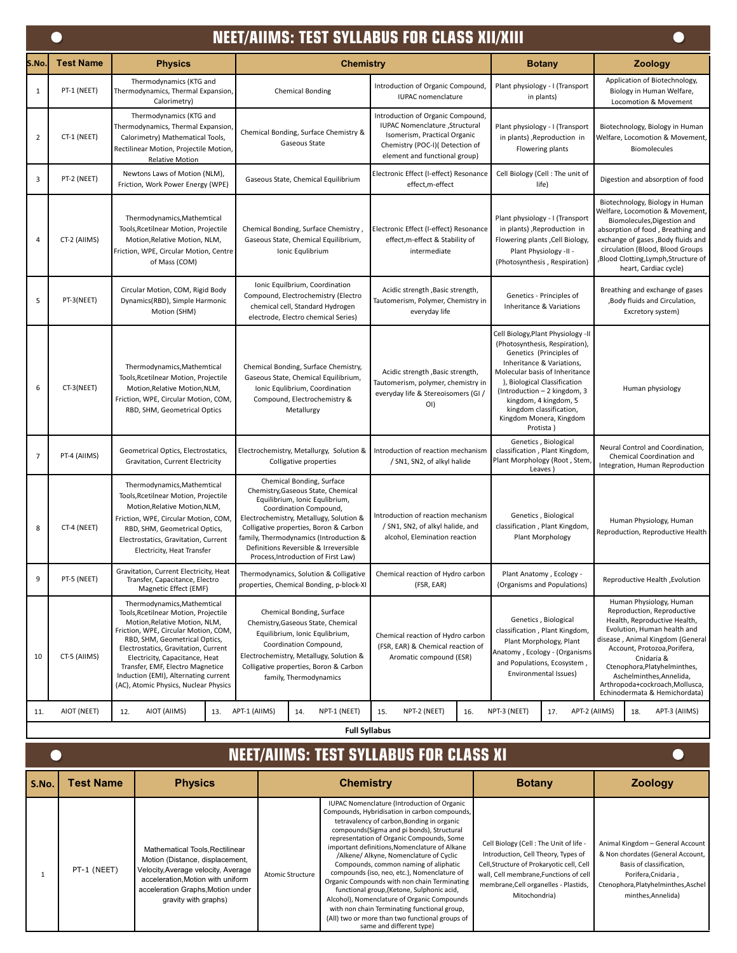|                | <b>NEET/AIIMS: TEST SYLLABUS FOR CLASS XII/XIII</b> |                                                                                                                                                                                                                                                                                                                                                                              |                                                                                                                                                                                                                                                                                                                                                 |                                                                                                                                                                          |                                                                                                                                                                                                                                                                                                                            |                                                                                                                                                                                                                                                                                                                                        |  |                                                                                           |  |  |
|----------------|-----------------------------------------------------|------------------------------------------------------------------------------------------------------------------------------------------------------------------------------------------------------------------------------------------------------------------------------------------------------------------------------------------------------------------------------|-------------------------------------------------------------------------------------------------------------------------------------------------------------------------------------------------------------------------------------------------------------------------------------------------------------------------------------------------|--------------------------------------------------------------------------------------------------------------------------------------------------------------------------|----------------------------------------------------------------------------------------------------------------------------------------------------------------------------------------------------------------------------------------------------------------------------------------------------------------------------|----------------------------------------------------------------------------------------------------------------------------------------------------------------------------------------------------------------------------------------------------------------------------------------------------------------------------------------|--|-------------------------------------------------------------------------------------------|--|--|
| S.No.          | <b>Test Name</b>                                    | <b>Physics</b>                                                                                                                                                                                                                                                                                                                                                               | <b>Chemistry</b>                                                                                                                                                                                                                                                                                                                                |                                                                                                                                                                          | <b>Botany</b>                                                                                                                                                                                                                                                                                                              | <b>Zoology</b>                                                                                                                                                                                                                                                                                                                         |  |                                                                                           |  |  |
| 1              | PT-1 (NEET)                                         | Thermodynamics (KTG and<br>Thermodynamics, Thermal Expansion,<br>Calorimetry)                                                                                                                                                                                                                                                                                                | <b>Chemical Bonding</b>                                                                                                                                                                                                                                                                                                                         | Introduction of Organic Compound<br>IUPAC nomenclature                                                                                                                   | Plant physiology - I (Transport<br>in plants)                                                                                                                                                                                                                                                                              | Application of Biotechnology,<br>Biology in Human Welfare,<br><b>Locomotion &amp; Movement</b>                                                                                                                                                                                                                                         |  |                                                                                           |  |  |
| $\overline{2}$ | CT-1 (NEET)                                         | Thermodynamics (KTG and<br>Thermodynamics, Thermal Expansion,<br>Calorimetry) Mathematical Tools,<br>Rectilinear Motion, Projectile Motion,<br><b>Relative Motion</b>                                                                                                                                                                                                        | Chemical Bonding, Surface Chemistry &<br>Gaseous State                                                                                                                                                                                                                                                                                          | Introduction of Organic Compound,<br>IUPAC Nomenclature , Structural<br>Isomerism, Practical Organic<br>Chemistry (POC-I)( Detection of<br>element and functional group) |                                                                                                                                                                                                                                                                                                                            | Plant physiology - I (Transport<br>in plants), Reproduction in<br>Flowering plants                                                                                                                                                                                                                                                     |  | Biotechnology, Biology in Human<br>Welfare, Locomotion & Movement,<br><b>Biomolecules</b> |  |  |
| 3              | PT-2 (NEET)                                         | Newtons Laws of Motion (NLM),<br>Friction, Work Power Energy (WPE)                                                                                                                                                                                                                                                                                                           | Gaseous State, Chemical Equilibrium                                                                                                                                                                                                                                                                                                             | Electronic Effect (I-effect) Resonance<br>effect,m-effect                                                                                                                | Cell Biology (Cell: The unit of<br>life)                                                                                                                                                                                                                                                                                   | Digestion and absorption of food                                                                                                                                                                                                                                                                                                       |  |                                                                                           |  |  |
| 4              | CT-2 (AIIMS)                                        | Thermodynamics, Mathemtical<br>Tools, Rcetilnear Motion, Projectile<br>Motion, Relative Motion, NLM,<br>Friction, WPE, Circular Motion, Centre<br>of Mass (COM)                                                                                                                                                                                                              | Chemical Bonding, Surface Chemistry,<br>Gaseous State, Chemical Equilibrium,<br>Ionic Equlibrium                                                                                                                                                                                                                                                | Electronic Effect (I-effect) Resonance<br>effect, m-effect & Stability of<br>intermediate                                                                                | Plant physiology - I (Transport<br>in plants) , Reproduction in<br>Flowering plants , Cell Biology,<br>Plant Physiology -II -<br>(Photosynthesis, Respiration)                                                                                                                                                             | Biotechnology, Biology in Human<br>Welfare, Locomotion & Movement,<br>Biomolecules, Digestion and<br>absorption of food, Breathing and<br>exchange of gases , Body fluids and<br>circulation (Blood, Blood Groups<br>Blood Clotting,Lymph,Structure of<br>heart, Cardiac cycle)                                                        |  |                                                                                           |  |  |
| 5              | PT-3(NEET)                                          | Circular Motion, COM, Rigid Body<br>Dynamics(RBD), Simple Harmonic<br>Motion (SHM)                                                                                                                                                                                                                                                                                           | Ionic Equilbrium, Coordination<br>Compound, Electrochemistry (Electro<br>chemical cell, Standard Hydrogen<br>electrode, Electro chemical Series)                                                                                                                                                                                                | Acidic strength, Basic strength,<br>Tautomerism, Polymer, Chemistry in<br>everyday life                                                                                  | Genetics - Principles of<br>Inheritance & Variations                                                                                                                                                                                                                                                                       | Breathing and exchange of gases<br>,Body fluids and Circulation,<br>Excretory system)                                                                                                                                                                                                                                                  |  |                                                                                           |  |  |
| 6              | CT-3(NEET)                                          | Thermodynamics, Mathemtical<br>Tools, Rcetilnear Motion, Projectile<br>Motion, Relative Motion, NLM,<br>Friction, WPE, Circular Motion, COM,<br>RBD, SHM, Geometrical Optics                                                                                                                                                                                                 | Chemical Bonding, Surface Chemistry,<br>Gaseous State, Chemical Equilibrium,<br>Ionic Equlibrium, Coordination<br>Compound, Electrochemistry &<br>Metallurgy                                                                                                                                                                                    | Acidic strength , Basic strength,<br>Tautomerism, polymer, chemistry in<br>everyday life & Stereoisomers (GI /<br>OI)                                                    | Cell Biology, Plant Physiology -II<br>(Photosynthesis, Respiration),<br>Genetics (Principles of<br>Inheritance & Variations.<br>Molecular basis of Inheritance<br>), Biological Classification<br>(Introduction - 2 kingdom, 3<br>kingdom, 4 kingdom, 5<br>kingdom classification,<br>Kingdom Monera, Kingdom<br>Protista) | Human physiology                                                                                                                                                                                                                                                                                                                       |  |                                                                                           |  |  |
| $\overline{7}$ | PT-4 (AIIMS)                                        | Geometrical Optics, Electrostatics,<br>Gravitation, Current Electricity                                                                                                                                                                                                                                                                                                      | Electrochemistry, Metallurgy, Solution &<br>Colligative properties                                                                                                                                                                                                                                                                              | Introduction of reaction mechanism<br>/ SN1, SN2, of alkyl halide                                                                                                        | Genetics, Biological<br>classification, Plant Kingdom,<br>Plant Morphology (Root, Stem,<br>Leaves                                                                                                                                                                                                                          | Neural Control and Coordination,<br>Chemical Coordination and<br>Integration, Human Reproduction                                                                                                                                                                                                                                       |  |                                                                                           |  |  |
| 8              | CT-4 (NEET)                                         | Thermodynamics, Mathemtical<br>Tools, Rcetilnear Motion, Projectile<br>Motion, Relative Motion, NLM,<br>Friction, WPE, Circular Motion, COM,<br>RBD, SHM, Geometrical Optics,<br>Electrostatics, Gravitation, Current<br>Electricity, Heat Transfer                                                                                                                          | Chemical Bonding, Surface<br>Chemistry, Gaseous State, Chemical<br>Equilibrium, Ionic Equlibrium,<br>Coordination Compound,<br>Electrochemistry, Metallugy, Solution &<br>Colligative properties, Boron & Carbon<br>family, Thermodynamics (Introduction &<br>Definitions Reversible & Irreversible<br>Process, Introduction of First Law)      | Introduction of reaction mechanism<br>/ SN1, SN2, of alkyl halide, and<br>alcohol, Elemination reaction                                                                  | Genetics, Biological<br>classification, Plant Kingdom,<br>Plant Morphology                                                                                                                                                                                                                                                 | Human Physiology, Human<br>Reproduction, Reproductive Health                                                                                                                                                                                                                                                                           |  |                                                                                           |  |  |
| 9              | PT-5 (NEET)                                         | Gravitation, Current Electricity, Heat<br>Transfer, Capacitance, Electro<br>Magnetic Effect (EMF)                                                                                                                                                                                                                                                                            | Thermodynamics, Solution & Colligative<br>properties, Chemical Bonding, p-block-XI                                                                                                                                                                                                                                                              | Chemical reaction of Hydro carbon<br>(FSR, EAR)                                                                                                                          | Plant Anatomy, Ecology -<br>(Organisms and Populations)                                                                                                                                                                                                                                                                    | Reproductive Health , Evolution                                                                                                                                                                                                                                                                                                        |  |                                                                                           |  |  |
| 10             | CT-5 (AIIMS)                                        | Thermodynamics, Mathemtical<br>Tools, Rcetilnear Motion, Projectile<br>Motion, Relative Motion, NLM,<br>Friction, WPE, Circular Motion, COM,<br>RBD, SHM, Geometrical Optics,<br>Electrostatics, Gravitation, Current<br>Electricity, Capacitance, Heat<br>Transfer, EMF, Electro Magnetice<br>Induction (EMI), Alternating current<br>(AC), Atomic Physics, Nuclear Physics | Chemical Bonding, Surface<br>Chemistry, Gaseous State, Chemical<br>Equilibrium, Ionic Equlibrium,<br>Chemical reaction of Hydro carbon<br>Coordination Compound,<br>(FSR, EAR) & Chemical reaction of<br>Electrochemistry, Metallugy, Solution &<br>Aromatic compound (ESR)<br>Colligative properties, Boron & Carbon<br>family, Thermodynamics |                                                                                                                                                                          | Genetics, Biological<br>classification, Plant Kingdom,<br>Plant Morphology, Plant<br>Anatomy, Ecology - (Organisms<br>and Populations, Ecosystem,<br>Environmental Issues)                                                                                                                                                 | Human Physiology, Human<br>Reproduction, Reproductive<br>Health, Reproductive Health,<br>Evolution, Human health and<br>disease, Animal Kingdom (General<br>Account, Protozoa, Porifera,<br>Cnidaria &<br>Ctenophora, Platyhelminthes,<br>Aschelminthes, Annelida,<br>Arthropoda+cockroach, Mollusca,<br>Echinodermata & Hemichordata) |  |                                                                                           |  |  |
| 11.            | AIOT (NEET)                                         | AIOT (AIIMS)<br>12.<br>13.                                                                                                                                                                                                                                                                                                                                                   | APT-1 (AIIMS)<br>NPT-1 (NEET)<br>14.<br><b>Full Syllabus</b>                                                                                                                                                                                                                                                                                    | NPT-2 (NEET)<br>15.<br>16.                                                                                                                                               | NPT-3 (NEET)<br>APT-2 (AIIMS)<br>17.                                                                                                                                                                                                                                                                                       | APT-3 (AIIMS)<br>18.                                                                                                                                                                                                                                                                                                                   |  |                                                                                           |  |  |

|  | Full Syllab |  |
|--|-------------|--|
|  |             |  |

|       |                  | <b>NEET/AIIMS: TEST SYLLABUS FOR CLASS XI</b>                                                                                                                                                               |                         |                                                                                                                                                                                                                                                                                                                                                                                                                                                                                                                                                                                                                                                                                                      |                                                                                                                                                                                                                                |                                                                                                                                                                                       |
|-------|------------------|-------------------------------------------------------------------------------------------------------------------------------------------------------------------------------------------------------------|-------------------------|------------------------------------------------------------------------------------------------------------------------------------------------------------------------------------------------------------------------------------------------------------------------------------------------------------------------------------------------------------------------------------------------------------------------------------------------------------------------------------------------------------------------------------------------------------------------------------------------------------------------------------------------------------------------------------------------------|--------------------------------------------------------------------------------------------------------------------------------------------------------------------------------------------------------------------------------|---------------------------------------------------------------------------------------------------------------------------------------------------------------------------------------|
| S.No. | <b>Test Name</b> | <b>Physics</b>                                                                                                                                                                                              |                         | <b>Chemistry</b>                                                                                                                                                                                                                                                                                                                                                                                                                                                                                                                                                                                                                                                                                     | <b>Botany</b>                                                                                                                                                                                                                  | <b>Zoology</b>                                                                                                                                                                        |
|       | PT-1 (NEET)      | Mathematical Tools, Rectilinear<br>Motion (Distance, displacement,<br>Velocity, Average velocity, Average<br>acceleration, Motion with uniform<br>acceleration Graphs, Motion under<br>gravity with graphs) | <b>Atomic Structure</b> | IUPAC Nomenclature (Introduction of Organic<br>Compounds, Hybridisation in carbon compounds,<br>tetravalency of carbon, Bonding in organic<br>compounds(Sigma and pi bonds), Structural<br>representation of Organic Compounds, Some<br>important definitions, Nomenclature of Alkane<br>/Alkene/ Alkyne, Nomenclature of Cyclic<br>Compounds, common naming of aliphatic<br>compounds (iso, neo, etc.), Nomenclature of<br>Organic Compounds with non chain Terminating<br>functional group, (Ketone, Sulphonic acid,<br>Alcohol), Nomenclature of Organic Compounds<br>with non chain Terminating functional group,<br>(All) two or more than two functional groups of<br>same and different type) | Cell Biology (Cell: The Unit of life -<br>Introduction, Cell Theory, Types of<br>Cell, Structure of Prokaryotic cell, Cell<br>wall, Cell membrane, Functions of cell<br>membrane, Cell organelles - Plastids,<br>Mitochondria) | Animal Kingdom - General Account<br>& Non chordates (General Account,<br>Basis of classification,<br>Porifera, Cnidaria,<br>Ctenophora, Platyhelminthes, Aschel<br>minthes, Annelida) |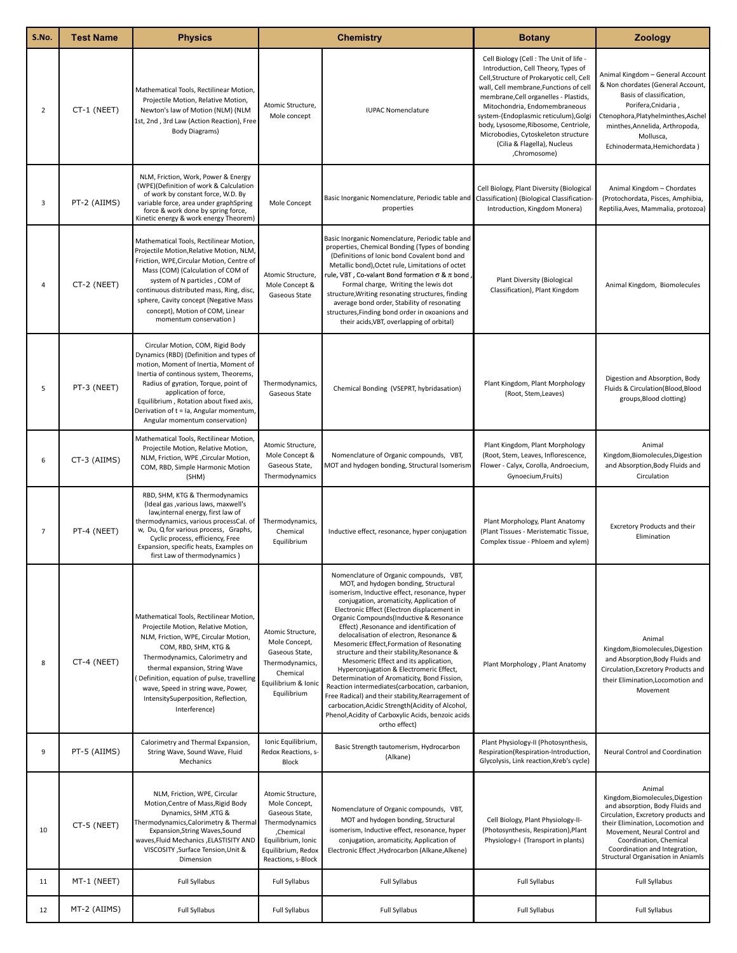| S.No.          | <b>Test Name</b> | <b>Physics</b>                                                                                                                                                                                                                                                                                                                                                 | <b>Chemistry</b>                                                                                                                                      |                                                                                                                                                                                                                                                                                                                                                                                                                                                                                                                                                                                                                                                                                                                                                                                                                                 | <b>Botany</b>                                                                                                                                                                                                                                                                                                                                                                                                         | <b>Zoology</b>                                                                                                                                                                                                                                                                                    |
|----------------|------------------|----------------------------------------------------------------------------------------------------------------------------------------------------------------------------------------------------------------------------------------------------------------------------------------------------------------------------------------------------------------|-------------------------------------------------------------------------------------------------------------------------------------------------------|---------------------------------------------------------------------------------------------------------------------------------------------------------------------------------------------------------------------------------------------------------------------------------------------------------------------------------------------------------------------------------------------------------------------------------------------------------------------------------------------------------------------------------------------------------------------------------------------------------------------------------------------------------------------------------------------------------------------------------------------------------------------------------------------------------------------------------|-----------------------------------------------------------------------------------------------------------------------------------------------------------------------------------------------------------------------------------------------------------------------------------------------------------------------------------------------------------------------------------------------------------------------|---------------------------------------------------------------------------------------------------------------------------------------------------------------------------------------------------------------------------------------------------------------------------------------------------|
| $\overline{2}$ | CT-1 (NEET)      | Mathematical Tools, Rectilinear Motion,<br>Projectile Motion, Relative Motion,<br>Newton's law of Motion (NLM) (NLM<br>1st, 2nd, 3rd Law (Action Reaction), Free<br><b>Body Diagrams)</b>                                                                                                                                                                      | Atomic Structure,<br>Mole concept                                                                                                                     | <b>IUPAC Nomenclature</b>                                                                                                                                                                                                                                                                                                                                                                                                                                                                                                                                                                                                                                                                                                                                                                                                       | Cell Biology (Cell: The Unit of life -<br>Introduction, Cell Theory, Types of<br>Cell, Structure of Prokaryotic cell, Cell<br>wall, Cell membrane, Functions of cell<br>membrane, Cell organelles - Plastids,<br>Mitochondria, Endomembraneous<br>system-(Endoplasmic reticulum), Golgi<br>body, Lysosome, Ribosome, Centriole,<br>Microbodies, Cytoskeleton structure<br>(Cilia & Flagella), Nucleus<br>,Chromosome) | Animal Kingdom - General Account<br>& Non chordates (General Account,<br>Basis of classification,<br>Porifera, Cnidaria,<br>Ctenophora, Platyhelminthes, Aschel<br>minthes, Annelida, Arthropoda,<br>Mollusca,<br>Echinodermata, Hemichordata)                                                    |
| 3              | PT-2 (AIIMS)     | NLM, Friction, Work, Power & Energy<br>(WPE)(Definition of work & Calculation<br>of work by constant force, W.D. By<br>variable force, area under graphSpring<br>force & work done by spring force,<br>Kinetic energy & work energy Theorem)                                                                                                                   | Mole Concept                                                                                                                                          | Basic Inorganic Nomenclature, Periodic table and Classification) (Biological Classification<br>properties                                                                                                                                                                                                                                                                                                                                                                                                                                                                                                                                                                                                                                                                                                                       | Cell Biology, Plant Diversity (Biological<br>Introduction, Kingdom Monera)                                                                                                                                                                                                                                                                                                                                            | Animal Kingdom - Chordates<br>(Protochordata, Pisces, Amphibia,<br>Reptilia, Aves, Mammalia, protozoa)                                                                                                                                                                                            |
| $\overline{4}$ | CT-2 (NEET)      | Mathematical Tools, Rectilinear Motion,<br>Projectile Motion, Relative Motion, NLM,<br>Friction, WPE, Circular Motion, Centre of<br>Mass (COM) (Calculation of COM of<br>system of N particles, COM of<br>continuous distributed mass, Ring, disc,<br>sphere, Cavity concept (Negative Mass<br>concept), Motion of COM, Linear<br>momentum conservation)       | Atomic Structure,<br>Mole Concept &<br>Gaseous State                                                                                                  | Basic Inorganic Nomenclature, Periodic table and<br>properties, Chemical Bonding (Types of bonding<br>(Definitions of Ionic bond Covalent bond and<br>Metallic bond), Octet rule, Limitations of octet<br>rule, VBT , Co-valant Bond formation σ & π bond j<br>Formal charge, Writing the lewis dot<br>structure, Writing resonating structures, finding<br>average bond order, Stability of resonating<br>structures, Finding bond order in oxoanions and<br>their acids, VBT, overlapping of orbital)                                                                                                                                                                                                                                                                                                                         | <b>Plant Diversity (Biological</b><br>Classification), Plant Kingdom                                                                                                                                                                                                                                                                                                                                                  | Animal Kingdom, Biomolecules                                                                                                                                                                                                                                                                      |
| 5              | PT-3 (NEET)      | Circular Motion, COM, Rigid Body<br>Dynamics (RBD) (Definition and types of<br>motion, Moment of Inertia, Moment of<br>Inertia of continous system, Theorems,<br>Radius of gyration, Torque, point of<br>application of force,<br>Equilibrium, Rotation about fixed axis,<br>Derivation of t = la, Angular momentum,<br>Angular momentum conservation)         | Thermodynamics,<br>Gaseous State                                                                                                                      | Chemical Bonding (VSEPRT, hybridasation)                                                                                                                                                                                                                                                                                                                                                                                                                                                                                                                                                                                                                                                                                                                                                                                        | Plant Kingdom, Plant Morphology<br>(Root, Stem, Leaves)                                                                                                                                                                                                                                                                                                                                                               | Digestion and Absorption, Body<br>Fluids & Circulation(Blood,Blood<br>groups, Blood clotting)                                                                                                                                                                                                     |
| 6              | CT-3 (AIIMS)     | Mathematical Tools, Rectilinear Motion,<br>Projectile Motion, Relative Motion,<br>NLM, Friction, WPE, Circular Motion,<br>COM, RBD, Simple Harmonic Motion<br>(SHM)                                                                                                                                                                                            | Atomic Structure,<br>Mole Concept &<br>Gaseous State,<br>Thermodynamics                                                                               | Nomenclature of Organic compounds, VBT,<br>MOT and hydogen bonding, Structural Isomerism                                                                                                                                                                                                                                                                                                                                                                                                                                                                                                                                                                                                                                                                                                                                        | Plant Kingdom, Plant Morphology<br>(Root, Stem, Leaves, Inflorescence,<br>Flower - Calyx, Corolla, Androecium,<br>Gynoecium, Fruits)                                                                                                                                                                                                                                                                                  | Animal<br>Kingdom, Biomolecules, Digestion<br>and Absorption, Body Fluids and<br>Circulation                                                                                                                                                                                                      |
| $\overline{7}$ | PT-4 (NEET)      | RBD, SHM, KTG & Thermodynamics<br>(Ideal gas , various laws, maxwell's<br>law, internal energy, first law of<br>thermodynamics, various processCal. of<br>w, Du, Q for various process, Graphs,<br>Cyclic process, efficiency, Free<br>Expansion, specific heats, Examples on<br>first Law of thermodynamics)                                                  | Thermodynamics,<br>Chemical<br>Equilibrium                                                                                                            | Inductive effect, resonance, hyper conjugation                                                                                                                                                                                                                                                                                                                                                                                                                                                                                                                                                                                                                                                                                                                                                                                  | Plant Morphology, Plant Anatomy<br>(Plant Tissues - Meristematic Tissue,<br>Complex tissue - Phloem and xylem)                                                                                                                                                                                                                                                                                                        | Excretory Products and their<br>Elimination                                                                                                                                                                                                                                                       |
| 8              | CT-4 (NEET)      | Mathematical Tools, Rectilinear Motion,<br>Projectile Motion, Relative Motion,<br>NLM, Friction, WPE, Circular Motion,<br>COM, RBD, SHM, KTG &<br>Thermodynamics, Calorimetry and<br>thermal expansion, String Wave<br>Definition, equation of pulse, travelling<br>wave, Speed in string wave, Power,<br>IntensitySuperposition, Reflection,<br>Interference) | Atomic Structure,<br>Mole Concept,<br>Gaseous State,<br>Thermodynamics,<br>Chemical<br>Equilibrium & Ionic<br>Equilibrium                             | Nomenclature of Organic compounds, VBT,<br>MOT, and hydogen bonding, Structural<br>isomerism, Inductive effect, resonance, hyper<br>conjugation, aromaticity, Application of<br>Electronic Effect (Electron displacement in<br>Organic Compounds(Inductive & Resonance<br>Effect), Resonance and identification of<br>delocalisation of electron, Resonance &<br>Mesomeric Effect, Formation of Resonating<br>structure and their stability, Resonance &<br>Mesomeric Effect and its application,<br>Hyperconjugation & Electromeric Effect,<br>Determination of Aromaticity, Bond Fission,<br>Reaction intermediates(carbocation, carbanion,<br>Free Radical) and their stability, Rearragement of<br>carbocation, Acidic Strength (Acidity of Alcohol,<br>Phenol, Acidity of Carboxylic Acids, benzoic acids<br>ortho effect) | Plant Morphology, Plant Anatomy                                                                                                                                                                                                                                                                                                                                                                                       | Animal<br>Kingdom, Biomolecules, Digestion<br>and Absorption, Body Fluids and<br>Circulation, Excretory Products and<br>their Elimination, Locomotion and<br>Movement                                                                                                                             |
| 9              | PT-5 (AIIMS)     | Calorimetry and Thermal Expansion,<br>String Wave, Sound Wave, Fluid<br>Mechanics                                                                                                                                                                                                                                                                              | Ionic Equilibrium,<br>Redox Reactions, s-<br>Block                                                                                                    | Plant Physiology-II (Photosynthesis,<br>Basic Strength tautomerism, Hydrocarbon<br>Respiration(Respiration-Introduction,<br>(Alkane)<br>Glycolysis, Link reaction, Kreb's cycle)                                                                                                                                                                                                                                                                                                                                                                                                                                                                                                                                                                                                                                                |                                                                                                                                                                                                                                                                                                                                                                                                                       | Neural Control and Coordination                                                                                                                                                                                                                                                                   |
| 10             | CT-5 (NEET)      | NLM, Friction, WPE, Circular<br>Motion, Centre of Mass, Rigid Body<br>Dynamics, SHM, KTG &<br>Thermodynamics, Calorimetry & Thermal<br>Expansion, String Waves, Sound<br>waves, Fluid Mechanics, ELASTISITY AND<br>VISCOSITY , Surface Tension, Unit &<br>Dimension                                                                                            | Atomic Structure,<br>Mole Concept,<br>Gaseous State,<br>Thermodynamics<br>,Chemical<br>Equilibrium, Ionic<br>Equilibrium, Redox<br>Reactions, s-Block | Nomenclature of Organic compounds, VBT,<br>MOT and hydogen bonding, Structural<br>isomerism, Inductive effect, resonance, hyper<br>conjugation, aromaticity, Application of<br>Electronic Effect , Hydrocarbon (Alkane, Alkene)                                                                                                                                                                                                                                                                                                                                                                                                                                                                                                                                                                                                 | Cell Biology, Plant Physiology-II-<br>(Photosynthesis, Respiration), Plant<br>Physiology-I (Transport in plants)                                                                                                                                                                                                                                                                                                      | Animal<br>Kingdom, Biomolecules, Digestion<br>and absorption, Body Fluids and<br>Circulation, Excretory products and<br>their Elimination, Locomotion and<br>Movement, Neural Control and<br>Coordination, Chemical<br>Coordination and Integration,<br><b>Structural Organisation in Aniamls</b> |
| 11             | MT-1 (NEET)      | <b>Full Syllabus</b>                                                                                                                                                                                                                                                                                                                                           | Full Syllabus                                                                                                                                         | Full Syllabus                                                                                                                                                                                                                                                                                                                                                                                                                                                                                                                                                                                                                                                                                                                                                                                                                   | Full Syllabus                                                                                                                                                                                                                                                                                                                                                                                                         | <b>Full Syllabus</b>                                                                                                                                                                                                                                                                              |
| 12             | MT-2 (AIIMS)     | Full Syllabus                                                                                                                                                                                                                                                                                                                                                  | <b>Full Syllabus</b>                                                                                                                                  | Full Syllabus                                                                                                                                                                                                                                                                                                                                                                                                                                                                                                                                                                                                                                                                                                                                                                                                                   | Full Syllabus                                                                                                                                                                                                                                                                                                                                                                                                         | <b>Full Syllabus</b>                                                                                                                                                                                                                                                                              |